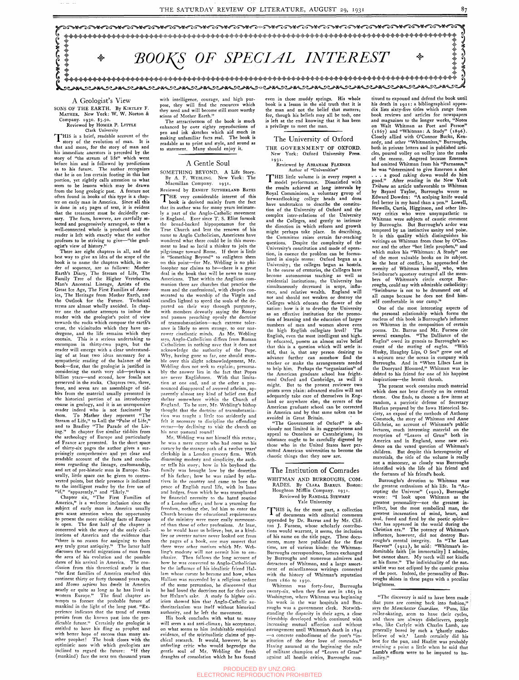SONS OF THE EARTH. By KIRTLEY F. MATHER. New York: W. W. Norton & Company. 1930. \$3.50.

Reviewed by HOMER P. LITTLE<br>Clark University

#### A Geologist's View

Clark University<br>THIS is a brief, readable account of the story of the evolution of man. It is that and more, for the story of man and his immediate ancestors is preceded by the story of "the stream of life" which went before him and is followed by predictions as to his future. The author recognizes that he is on less certain footing in this last portion, yet rightly calls attention to what seem to be lessons which may be drawn from the long geologic past. A feature not often found in books of this type is a chapter on early man in America. Since all this is done in 263 pages of text, it is evident that the treatment must be decidedly cursory. The facts, however, are carefully selected and progressively arranged, so that a well-connected whole is produced and the reader is left with exactly what the author professes to be striving to give—"the geologist's view of history."

There are eight chapters in all, and the best way to give an idea of the scope of the book is to name the chapters which, in order of sequence, are as follows: Mother Earth's Diary, The Stream of Life, The Family Tree of the Higher Vertebrates, Man's Ancestral Lineage, Artists of the Great Ice Age, The First Families of America, The Heritage from Mother Earth, and the Outlook for the Future. Technical terms are almost wholly avoided. In chapter one the author attempts to imbue the reader with the geologist's point of view towards the rocks which compose the earth's crust, the vicissitudes which they have undergone, and the life remains which they contain. This is a serious undertaking to encompass in thirty-two pages, but the reader will emerge with a clear understanding of at least two ideas necessary for a sympathetic reading of the balance of the book—first, that the geologist is justified in considering the earth very old—perhaps a billion years—and second, how fossils are preserved in the rocks. Chapters two, three, four, and seven are an assemblage of tidbits from the material usually presented in the historical portion of an introductory course in geology, and it is an unresponsive reader indeed who is not fascinated by them. To Mather they represent "The Stream of Life," to Lull the "Pulse of Life," and to Bradley "The Parade of the Living." In chapter five similar tid-bits from mg. In chapter ave similar tid-bits from the archeology of Europe and particularly of France are presented. In the short space or thirty-six pages the author gives a surprisingly comprehensive and yet clear and readable account of the facts and conclusions regarding the lineage, craftsmanship, and art of pre-historic man in Europe. Naturally, little space can be given to controverted points, but their presence is indicated to the intelligent reader by the free use of

"if," "apparently," and "likely."<br>Chapter six, "The First Families of America," is a welcome inclusion since the subject of early man in America usually gets scant attention when the opportunity to present the more striking facts of Europe is open. The first half of the chapter is erned with the story of the izations of America and the evidence that "there is no reason for assigning to them any truly great antiquity." The latter half discusses the world migrations of man from the area of his evolution and the possible dates of his arrival in America. The conclusion from this theoretical study is that "the first families of America reached this continent thirty or forty thousand years ago, and *Homo safiens* has dwelt in America nearly or quite as long as he has lived in western Europe." The final chapter attempts to foresee the probable future of mankind in the light of the long past. "Experience indicates that the trend of events persists from the known past into the predictable future." Certainly the geologist is entitled to have his fling as prophet and entrica to have his ning as prophet and with better hope of success than many anoptimistic note with which geologists are inclined to regard the future: "If they (mankind) face the next ten thousand years

with intelligence, courage, and high purpose, they will find the resources which they need and will become still more worthy scions of Mother Earth."

SOMETHING BEYOND. A Life Story. By A. F. WEBLING. New York: The Macmillan Company. 1931.

Reviewed by ERNEST SUTHERLAND BATES THE very considerable interest of this *A* book is derived mainly from the fact that its author was for many years intimatemat its author was for many years intimate-<br>In a part of the Anglo-Catholic movement in England. Even since T. S. Eliot forsook in England. Ever since T. S. Eliot forsook the broad-backed hippopotamus for the<br>True Church and lent the renown of his Frue Church and lent the renown of his name to Anglo Catholicism, Americans have wondered what there could be in this movement to lead so lucid a thinker to join the pilgrimage toward Rome. If there is little in "Something Beyond" to enlighten them on this point-for Mr. Webling is no philosopher nor claims to be—there is a great deal in the book that will be news to many Americans. That within the Anglican communion there are churches that practice the mass and the confessional, with chapels consecrated to the worship of the Virgin and candles lighted to speed the souls of the departed on their way through purgatory, with members devoutly saying the Rosary and pastors preaching openly the doctrine of transsubstantiation-such extreme tolerance is likely to seem strange, to our narrower cisatlantic minds. As Mr. Webling says, Anglo-Catholicism differs from Roman Catholicism in nothing save that it does not acknowledge the authority of the Pope. Why, having gone so far, one should stumble over this slight acknowledgement, Mr. Webling does not seek to explain; presumably the answer lies in the fact that Popes are never Englishmen. With that limitation at one end, and at the other a pronounced disapproval of avowed atheism, apparently almost any kind of belief can find shelter somewhere within the Church of England. To be sure, Mr. Webling's bishop thought that the doctrine of transubstantiation was taught a little too stridently and felt it necessary to discipline the offending rector-by declining to visit the church on his next pastoral round!

Mr. Webling was not himself this rector; he was a mere curate who had come to his curacy by the strange path of a twelve years' clerkship in a London grocery firm. With disarming modesty and simplicity, the author tells his story; how in his boyhood the family was brought low by the desertion of his father; how he was raised by relatives in the country and came to love the peace of English rural life, with its lanes and hedges, from which he was transplanted bv financial necessity to the hated routine of a London office; and how a yearning for freedom, nothing else, led him to enter the Church because the educational requirements of the ministry were more easily surmounted than those of other professions. At least, ould have us believe; but, as a kindlier or sweeter nature never looked out from the pages of a book, one may suspect that there were other motives which Mr. Webling's modesty will not permit him to emphasize. Then follows the long account of how he was converted to Anglo-Catholicism by the influence of his idealistic friend Hallam whose curate he became and how, when Hallam was succeeded by a religious pedant of the same persuasion, he discovered that he had loved the doctrines not for their own but Halam's sake. A study fo higher criticism showed him that Anglo-Catholic authoritarianism was itself without historical authority, and he left the movement. His book concludes with what to many will seem a sad anti-climax; his acceptance, on what seems to him indubitable empirical evidence, of the spiritualistic claims of psychical research. It would, however, be an unfeeling critic who would begrudge the gentle soul of Mr. Webling the fresh draughts of consolation which he has found

THE GOVERNMENT OF OXFORD. New York: Oxford University Press. 1931 .

#### Reviewed by ABRAHAM FLEXNER Author of "Universities"

THIS little volume is in every respect a **\*** model performance. Dissatisfied with the results achieved at long intervals by Royal Commissions, a voluntary group of forwardlooking college heads and dons have undertaken to describe the constitution of the University of Oxford and the complex inter-relations of the University and the Colleges, and gently to intimate the direction in which reform and growth might perhaps take place. In describing, the Committee raises certain far-reaching questions. Despite the complexity of the University's constitution and mode of operation, in essence the problem can be formulated in simple terms: Oxford began as a University; the colleges began as hostels. In the course of centuries, the Colleges have become autonomous teaching as well as residential institutions; the University has simultaneously decreased in scope, influence, and relative wealth. England will not and should not weaken or destroy the Colleges which educate the flower of the Coneges which equicate the hower of the nation: now is it to develop the University as an enective institution for the promonon or learning and the equeation or larger numbers of men and women above even the high English collegiate level? The English, even the most intelligent and highly educated, possess an almost naïve belief that this is a question which will settle itself, that is, that any person desiring to advance further can somehow find the teacher or make the arrangements needed to help him. Perhaps the "organization" of the American graduate school has frightened Oxford and Cambridge, as well it might. But to the present reviewer two points seem plain: advanced studies will not adequately take care of themselves in England or anywhere else; the errors of the American graduate school can be corrected in America and by that same token can be avoided in Great Britain.

The attractiveness of the book is much enhanced by over eighty reproductions of pen and ink sketches which aid much in making unfamiliar facts real. The book is readable as to print and style, and sound as to statement. Many should enjoy it.

## A Gentle Soul

tions would warrant, it seems, the inclusion of his name on the title page. These documents, many here published for the first time, are of various kinds: the Whitman-Burroughs correspondence, letters exchanged by Burroughs and numerous admirers and detractors of Whitman, and a large assortment of miscellaneous writings connected with the history of Whitman's reputation from  $1860$  to  $1930$ .

his death in 1921: a bibliographical appendix lists sixty-five titles which range from book reviews and articles for newspapers and magazines to the longer works, "Notes on Walt Whitman as Poet and Person" (1867) and "Whitman: A Study" (1896). Closely allied with O'Connor Bucke, Kennedy, and other "Whitmanites," Burroughs, both in private letters and in published articles, poured volley on volley into the ranks of the enemy. Angered because Emerson had omitted Whitman from his "Parnassus," he was "determined to give Emerson a shot . . . a good raking down would do him good." After reading in the New York *Tribune* an article unfavorable to Whitman by Bayard Taylor, Burroughs wrote to Edward Dowden: "A scalping knife would feel better in my hand than a pen." Lowell, Howells, Curtis, Higginson, and other literary critics who were unsympathetic to Whitman were subjects of caustic comment by Burroughs. But Burroughs's ardor was tempered by an instinctive sanity and poise. It is this quality which distinguishes his writings on Whitman from those by O'Connor and the other "hot little prophets," and which makes his "Whitman: A Study" one of the most valuable books on its subject. of the most valuable books on its subject.<br>In the heat of conflict, he approached the In the heat of conflict, he approached the<br>consider of Whitman himself, who, when serenity of Whitman himself, who, when Swinburne's apostasy outraged all the members of Whitman's circle except Burroughs, could say with admirable catholicity: "Swinburne is not to be drummed out of all camps because he does not find him-<br>self comfortable in our camp."



even in those muddy springs. His whole book is a lesson in the old truth that it is the man and not the belief that matters; for, though his beliefs may all be tosh, one is left at the end knowing that it has been a privilege to meet the man.

### The University of Oxford

"The Government of Oxford" is obviously not limited in its suggestiveness and appeal to Oxonians or Cantabrigians; its substance ought to be carefully digested by those who in the United States have permitted American universities to become the chaotic things that they now are.

## The Institution of Comrades WHITMAN AND BURROUGHS, COM-RADES. By CLARA BARRUS. Boston: Houghton Mifflin Company. 1931. Reviewed by RANDALL STEWART

Yale University THIS is, for the most part, a collection  $\blacktriangle$  of documents with editorial comments appended by Dr. Barrus and by Mr. Clifton J. Furness, whose scholarly contribu-

Whitman was forty-four. Burroughs twenty-six, when they first met in 1863 in Washington, where Whitman was beginning his work in the war hospitals and Burroughs was a government clerk. Notwithstanding the disparity in their ages, a close friendship developed which continued with increasing mutual afifection and without estrangement until Whitman's death in 1892 —a concrete embodiment of the poet's "institution of the dear love of comrades." Having assumed at the beginning the role of militant champion of "Leaves of Grass" against all hostile critics, Burroughs con-

One of the most interesting aspects of the personal relationship which forms the nucleus of this book is Burroughs's influence on Whitman in the composition of certain poems. Dr. Barrus and Mr. Furness cite several examples. "The Dalliance of the Eagles" owed its genesis to Burroughs's ac-<br>count of the mating of eagles. "With count of the mating of eagles. Husky, Haughty Lips, O Sea" grew out of a sojourn near the ocean in company with Burroughs. And in "When Lilacs Last in the Dooryard Bloomed," Whitman was indebted to his friend for one of his happiest inspirations—the hermit thrush.

The present work contains much material which does not bear directly on its central theme. One finds, to choose a few items at random, a patriotic defense of Secretary Harlan prepared by the Iowa Historical Society, an expose of the methods of Anthony Comstock, the story of Whitman and Anne Gilchrist, an account of Whitman's public lectures, much interesting material on the reception of "Leaves of Grass" both in America and in England, some new evidence on the vexed question of Whitman's children. But despite this heterogeneity of materials, the title of the volume is really not a misnomer, so closely was Burroughs identified with the life of his friend and the fortunes of his friend's book.

Burroughs's devotion to Whitman wasthe greatest enthusiasm of his life. In "Accepting the Universe" (1920), Burroughs' wrote: "I look upon Whitman as the greatest personality—not the greatest intellect, but the most symbolical man, the greatest incarnation of mind, heart, and soul, fused and fired by the poetic spirit that has appeared in the world during the Christian era." The potency of influence, however, did not destroy Burroughs's mental integrity. In "The Last Harvest" (1922), he said: "Whitman's indomitable faith [in immortality] I admire, but cannot share. My torch will not kindle at his flame." The individuality of the naturalist was not eclipsed by the cosmic genius of the poet. Indeed, the personality of Burroughs shines in these pages with a peculiar brightness.

"The discovery is said to have been made that puns are coming back into fashion," says the *Manchester Guardian.* "Puns, like roller-skating, seem to have their cycles, and there are always disbelievers, people who, like Carlyle with Charles Lamb, are generally bored by such a 'ghastly makebelieve of wit.' Lamb certainly did his best for the pun, and Hazlitt was probably straining a point a little when he said that Lamb's efforts were to be imputed to humility."